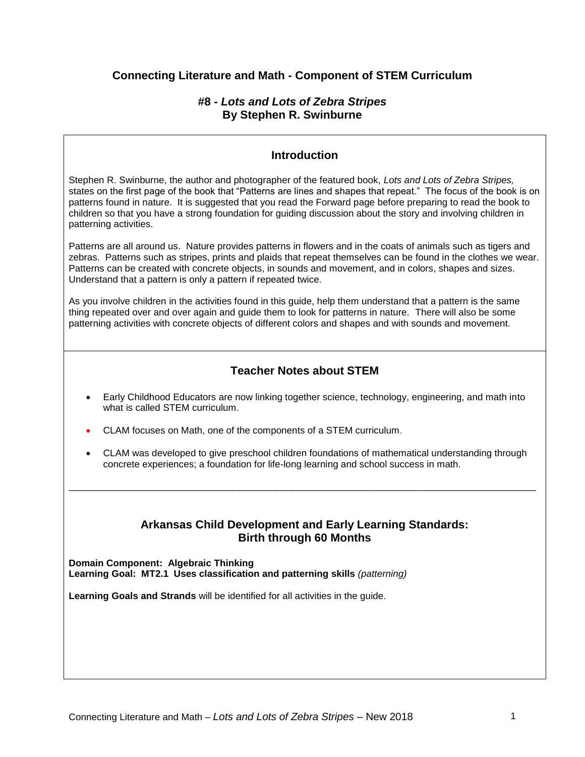## **Connecting Literature and Math - Component of STEM Curriculum**

### **#8 -** *Lots and Lots of Zebra Stripes* **By Stephen R. Swinburne**

### **Introduction**

Stephen R. Swinburne, the author and photographer of the featured book, *Lots and Lots of Zebra Stripes,*  states on the first page of the book that "Patterns are lines and shapes that repeat." The focus of the book is on patterns found in nature. It is suggested that you read the Forward page before preparing to read the book to children so that you have a strong foundation for guiding discussion about the story and involving children in patterning activities.

Patterns are all around us. Nature provides patterns in flowers and in the coats of animals such as tigers and zebras. Patterns such as stripes, prints and plaids that repeat themselves can be found in the clothes we wear. Patterns can be created with concrete objects, in sounds and movement, and in colors, shapes and sizes. Understand that a pattern is only a pattern if repeated twice.

As you involve children in the activities found in this guide, help them understand that a pattern is the same thing repeated over and over again and guide them to look for patterns in nature. There will also be some patterning activities with concrete objects of different colors and shapes and with sounds and movement.

# **Teacher Notes about STEM**

- Early Childhood Educators are now linking together science, technology, engineering, and math into what is called STEM curriculum.
- CLAM focuses on Math, one of the components of a STEM curriculum.
- CLAM was developed to give preschool children foundations of mathematical understanding through concrete experiences; a foundation for life-long learning and school success in math.

\_\_\_\_\_\_\_\_\_\_\_\_\_\_\_\_\_\_\_\_\_\_\_\_\_\_\_\_\_\_\_\_\_\_\_\_\_\_\_\_\_\_\_\_\_\_\_\_\_\_\_\_\_\_\_\_\_\_\_\_\_\_\_\_\_\_\_\_\_\_\_\_\_\_\_\_\_\_\_\_\_\_\_\_\_\_\_\_

### **Arkansas Child Development and Early Learning Standards: Birth through 60 Months**

**Domain Component: Algebraic Thinking Learning Goal: MT2.1 Uses classification and patterning skills** *(patterning)*

**Learning Goals and Strands** will be identified for all activities in the guide.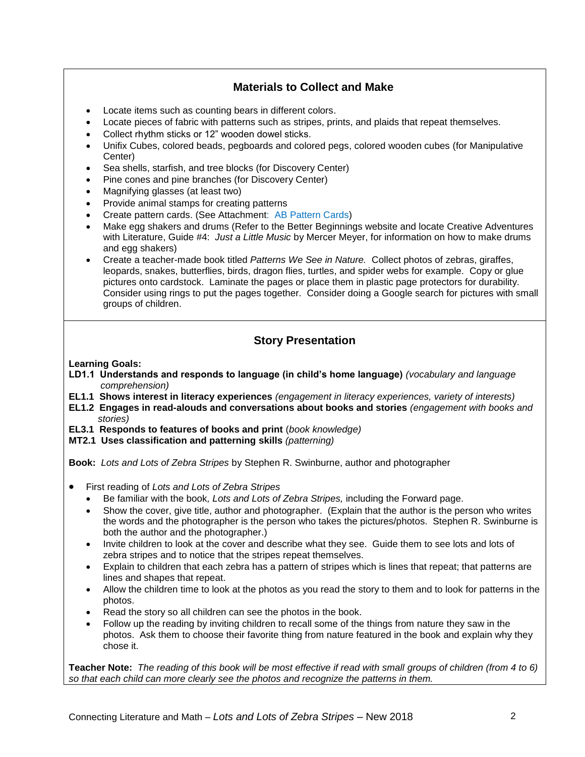# **Materials to Collect and Make**

- Locate items such as counting bears in different colors.
- Locate pieces of fabric with patterns such as stripes, prints, and plaids that repeat themselves.
- Collect rhythm sticks or 12" wooden dowel sticks.
- Unifix Cubes, colored beads, pegboards and colored pegs, colored wooden cubes (for Manipulative Center)
- Sea shells, starfish, and tree blocks (for Discovery Center)
- Pine cones and pine branches (for Discovery Center)
- Magnifying glasses (at least two)
- Provide animal stamps for creating patterns
- Create pattern cards. (See Attachment: AB Pattern Cards)
- Make egg shakers and drums (Refer to the Better Beginnings website and locate Creative Adventures with Literature, Guide #4: *Just a Little Music* by Mercer Meyer, for information on how to make drums and egg shakers)
- Create a teacher-made book titled *Patterns We See in Nature.* Collect photos of zebras, giraffes, leopards, snakes, butterflies, birds, dragon flies, turtles, and spider webs for example. Copy or glue pictures onto cardstock. Laminate the pages or place them in plastic page protectors for durability. Consider using rings to put the pages together. Consider doing a Google search for pictures with small groups of children.

# **Story Presentation**

**Learning Goals:**

- **LD1.1 Understands and responds to language (in child's home language)** *(vocabulary and language comprehension)*
- **EL1.1 Shows interest in literacy experiences** *(engagement in literacy experiences, variety of interests)*
- **EL1.2 Engages in read-alouds and conversations about books and stories** *(engagement with books and stories)*
- **EL3.1 Responds to features of books and print** (*book knowledge)*
- **MT2.1 Uses classification and patterning skills** *(patterning)*

**Book:** *Lots and Lots of Zebra Stripes* by Stephen R. Swinburne, author and photographer

- First reading of *Lots and Lots of Zebra Stripes*
	- Be familiar with the book*, Lots and Lots of Zebra Stripes,* including the Forward page.
	- Show the cover, give title, author and photographer. (Explain that the author is the person who writes the words and the photographer is the person who takes the pictures/photos. Stephen R. Swinburne is both the author and the photographer.)
	- Invite children to look at the cover and describe what they see. Guide them to see lots and lots of zebra stripes and to notice that the stripes repeat themselves.
	- Explain to children that each zebra has a pattern of stripes which is lines that repeat; that patterns are lines and shapes that repeat.
	- Allow the children time to look at the photos as you read the story to them and to look for patterns in the photos.
	- Read the story so all children can see the photos in the book.
	- Follow up the reading by inviting children to recall some of the things from nature they saw in the photos. Ask them to choose their favorite thing from nature featured in the book and explain why they chose it.

**Teacher Note:** *The reading of this book will be most effective if read with small groups of children (from 4 to 6) so that each child can more clearly see the photos and recognize the patterns in them.*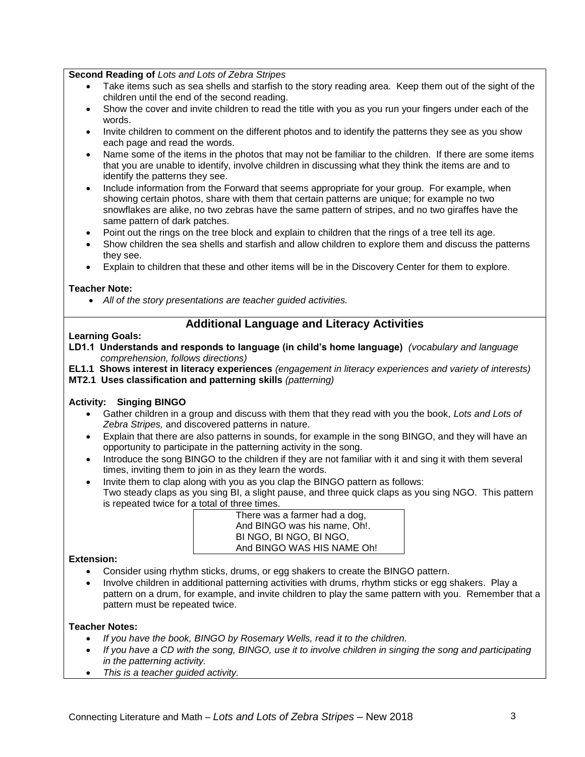**Second Reading of** *Lots and Lots of Zebra Stripes*

- Take items such as sea shells and starfish to the story reading area. Keep them out of the sight of the children until the end of the second reading.
- Show the cover and invite children to read the title with you as you run your fingers under each of the words.
- Invite children to comment on the different photos and to identify the patterns they see as you show each page and read the words.
- Name some of the items in the photos that may not be familiar to the children. If there are some items that you are unable to identify, involve children in discussing what they think the items are and to identify the patterns they see.
- Include information from the Forward that seems appropriate for your group. For example, when showing certain photos, share with them that certain patterns are unique; for example no two snowflakes are alike, no two zebras have the same pattern of stripes, and no two giraffes have the same pattern of dark patches.
- Point out the rings on the tree block and explain to children that the rings of a tree tell its age.
- Show children the sea shells and starfish and allow children to explore them and discuss the patterns they see.
- Explain to children that these and other items will be in the Discovery Center for them to explore.

### **Teacher Note:**

*All of the story presentations are teacher guided activities.*

## **Additional Language and Literacy Activities**

### **Learning Goals:**

**LD1.1 Understands and responds to language (in child's home language)** *(vocabulary and language comprehension, follows directions)*

**EL1.1 Shows interest in literacy experiences** *(engagement in literacy experiences and variety of interests)* **MT2.1 Uses classification and patterning skills** *(patterning)*

### **Activity: Singing BINGO**

- Gather children in a group and discuss with them that they read with you the book, *Lots and Lots of Zebra Stripes,* and discovered patterns in nature.
- Explain that there are also patterns in sounds, for example in the song BINGO, and they will have an opportunity to participate in the patterning activity in the song.
- Introduce the song BINGO to the children if they are not familiar with it and sing it with them several times, inviting them to join in as they learn the words.
- Invite them to clap along with you as you clap the BINGO pattern as follows: Two steady claps as you sing BI, a slight pause, and three quick claps as you sing NGO. This pattern is repeated twice for a total of three times.

There was a farmer had a dog, And BINGO was his name, Oh!. BI NGO, BI NGO, BI NGO, And BINGO WAS HIS NAME Oh!

#### **Extension:**

- Consider using rhythm sticks, drums, or egg shakers to create the BINGO pattern.
- Involve children in additional patterning activities with drums, rhythm sticks or egg shakers. Play a pattern on a drum, for example, and invite children to play the same pattern with you. Remember that a pattern must be repeated twice.

### **Teacher Notes:**

- *If you have the book, BINGO by Rosemary Wells, read it to the children.*
- *If you have a CD with the song, BINGO, use it to involve children in singing the song and participating in the patterning activity.*
- *This is a teacher guided activity.*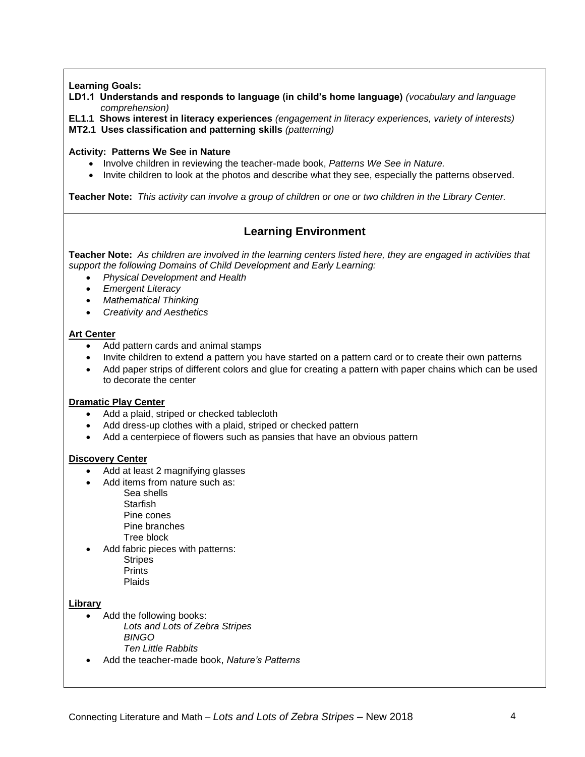### **Learning Goals:**

**LD1.1 Understands and responds to language (in child's home language)** *(vocabulary and language comprehension)*

**EL1.1 Shows interest in literacy experiences** *(engagement in literacy experiences, variety of interests)* **MT2.1 Uses classification and patterning skills** *(patterning)*

#### **Activity: Patterns We See in Nature**

- Involve children in reviewing the teacher-made book, Patterns We See in Nature.
- Invite children to look at the photos and describe what they see, especially the patterns observed.

**Teacher Note:** *This activity can involve a group of children or one or two children in the Library Center.*

# **Learning Environment**

**Teacher Note:** *As children are involved in the learning centers listed here, they are engaged in activities that support the following Domains of Child Development and Early Learning:*

- *Physical Development and Health*
- *Emergent Literacy*
- *Mathematical Thinking*
- *Creativity and Aesthetics*

### **Art Center**

- Add pattern cards and animal stamps
- Invite children to extend a pattern you have started on a pattern card or to create their own patterns
- Add paper strips of different colors and glue for creating a pattern with paper chains which can be used to decorate the center

#### **Dramatic Play Center**

- Add a plaid, striped or checked tablecloth
- Add dress-up clothes with a plaid, striped or checked pattern
- Add a centerpiece of flowers such as pansies that have an obvious pattern

#### **Discovery Center**

- Add at least 2 magnifying glasses
- Add items from nature such as:
	- Sea shells **Starfish** Pine cones Pine branches Tree block
- Add fabric pieces with patterns: **Stripes** Prints Plaids

### **Library**

- Add the following books: *Lots and Lots of Zebra Stripes BINGO Ten Little Rabbits*
- Add the teacher-made book, *Nature's Patterns*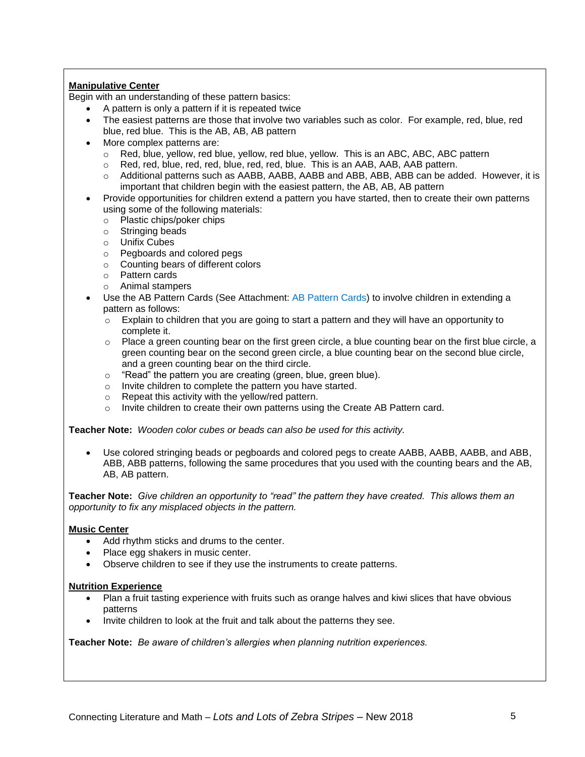### **Manipulative Center**

Begin with an understanding of these pattern basics:

- A pattern is only a pattern if it is repeated twice
- The easiest patterns are those that involve two variables such as color. For example, red, blue, red blue, red blue. This is the AB, AB, AB pattern
- More complex patterns are:
	- $\circ$  Red, blue, yellow, red blue, yellow, red blue, yellow. This is an ABC, ABC, ABC pattern
	- $\circ$  Red, red, blue, red, red, blue, red, red, blue. This is an AAB, AAB, AAB pattern.
	- o Additional patterns such as AABB, AABB, AABB and ABB, ABB, ABB can be added. However, it is important that children begin with the easiest pattern, the AB, AB, AB pattern
- Provide opportunities for children extend a pattern you have started, then to create their own patterns using some of the following materials:
	- o Plastic chips/poker chips
	- o Stringing beads
	- o Unifix Cubes
	- o Pegboards and colored pegs
	- o Counting bears of different colors
	- o Pattern cards
	- o Animal stampers
- Use the AB Pattern Cards (See Attachment: AB Pattern Cards) to involve children in extending a pattern as follows:
	- $\circ$  Explain to children that you are going to start a pattern and they will have an opportunity to complete it.
	- o Place a green counting bear on the first green circle, a blue counting bear on the first blue circle, a green counting bear on the second green circle, a blue counting bear on the second blue circle, and a green counting bear on the third circle.
	- o "Read" the pattern you are creating (green, blue, green blue).
	- o Invite children to complete the pattern you have started.
	- o Repeat this activity with the yellow/red pattern.
	- $\circ$  Invite children to create their own patterns using the Create AB Pattern card.

**Teacher Note:** *Wooden color cubes or beads can also be used for this activity.*

 Use colored stringing beads or pegboards and colored pegs to create AABB, AABB, AABB, and ABB, ABB, ABB patterns, following the same procedures that you used with the counting bears and the AB, AB, AB pattern.

**Teacher Note:** *Give children an opportunity to "read" the pattern they have created. This allows them an opportunity to fix any misplaced objects in the pattern.*

#### **Music Center**

- Add rhythm sticks and drums to the center.
- Place egg shakers in music center.
- Observe children to see if they use the instruments to create patterns.

#### **Nutrition Experience**

- Plan a fruit tasting experience with fruits such as orange halves and kiwi slices that have obvious patterns
- Invite children to look at the fruit and talk about the patterns they see.

**Teacher Note:** *Be aware of children's allergies when planning nutrition experiences.*